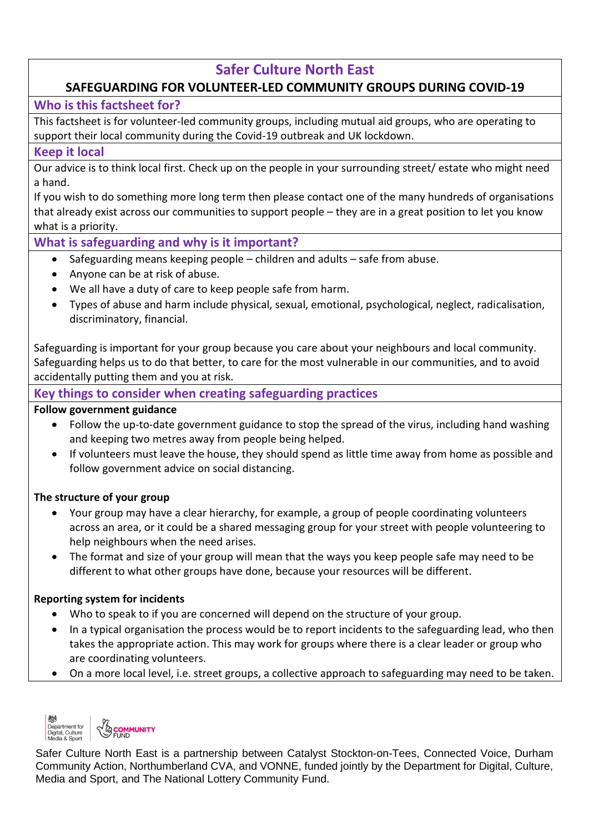# **Safer Culture North East**

## **SAFEGUARDING FOR VOLUNTEER-LED COMMUNITY GROUPS DURING COVID-19**

## **Who is this factsheet for?**

This factsheet is for volunteer-led community groups, including mutual aid groups, who are operating to support their local community during the Covid-19 outbreak and UK lockdown.

## **Keep it local**

Our advice is to think local first. Check up on the people in your surrounding street/ estate who might need a hand.

If you wish to do something more long term then please contact one of the many hundreds of organisations that already exist across our communities to support people – they are in a great position to let you know what is a priority.

## **What is safeguarding and why is it important?**

- Safeguarding means keeping people children and adults safe from abuse.
- Anyone can be at risk of abuse.
- We all have a duty of care to keep people safe from harm.
- Types of abuse and harm include physical, sexual, emotional, psychological, neglect, radicalisation, discriminatory, financial.

Safeguarding is important for your group because you care about your neighbours and local community. Safeguarding helps us to do that better, to care for the most vulnerable in our communities, and to avoid accidentally putting them and you at risk.

## **Key things to consider when creating safeguarding practices**

#### **Follow government guidance**

- Follow the up-to-date government guidance to stop the spread of the virus, including hand washing and keeping two metres away from people being helped.
- If volunteers must leave the house, they should spend as little time away from home as possible and follow government advice on social distancing.

#### **The structure of your group**

- Your group may have a clear hierarchy, for example, a group of people coordinating volunteers across an area, or it could be a shared messaging group for your street with people volunteering to help neighbours when the need arises.
- The format and size of your group will mean that the ways you keep people safe may need to be different to what other groups have done, because your resources will be different.

#### **Reporting system for incidents**

- Who to speak to if you are concerned will depend on the structure of your group.
- In a typical organisation the process would be to report incidents to the safeguarding lead, who then takes the appropriate action. This may work for groups where there is a clear leader or group who are coordinating volunteers.
- On a more local level, i.e. street groups, a collective approach to safeguarding may need to be taken.



Safer Culture North East is a partnership between Catalyst Stockton-on-Tees, Connected Voice, Durham Community Action, Northumberland CVA, and VONNE, funded jointly by the Department for Digital, Culture, Media and Sport, and The National Lottery Community Fund.